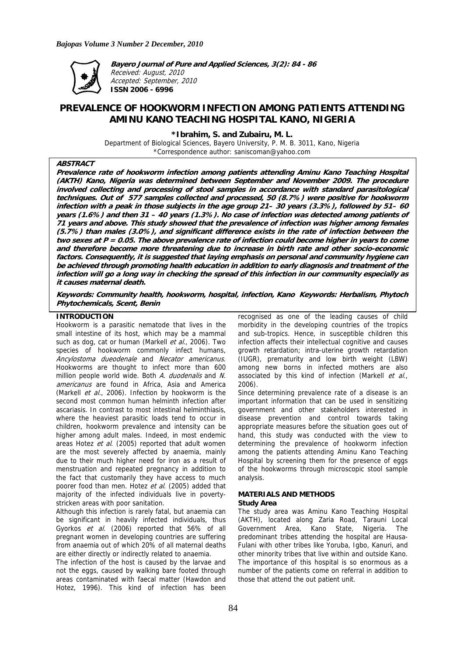

**Bayero Journal of Pure and Applied Sciences, 3(2): 84 - 86**  Received: August, 2010 Accepted: September, 2010 **ISSN 2006 - 6996** 

# **PREVALENCE OF HOOKWORM INFECTION AMONG PATIENTS ATTENDING AMINU KANO TEACHING HOSPITAL KANO, NIGERIA**

**\*Ibrahim, S. and Zubairu, M. L.** 

Department of Biological Sciences, Bayero University, P. M. B. 3011, Kano, Nigeria \*Correspondence author: saniscoman@yahoo.com

# **ABSTRACT**

**Prevalence rate of hookworm infection among patients attending Aminu Kano Teaching Hospital (AKTH) Kano, Nigeria was determined between September and November 2009. The procedure involved collecting and processing of stool samples in accordance with standard parasitological techniques. Out of 577 samples collected and processed, 50 (8.7%) were positive for hookworm infection with a peak in those subjects in the age group 21– 30 years (3.3%), followed by 51– 60 years (1.6%) and then 31 – 40 years (1.3%). No case of infection was detected among patients of 71 years and above. This study showed that the prevalence of infection was higher among females (5.7%) than males (3.0%), and significant difference exists in the rate of infection between the two sexes at P = 0.05. The above prevalence rate of infection could become higher in years to come and therefore become more threatening due to increase in birth rate and other socio-economic factors. Consequently, it is suggested that laying emphasis on personal and community hygiene can be achieved through promoting health education in addition to early diagnosis and treatment of the infection will go a long way in checking the spread of this infection in our community especially as it causes maternal death.** 

**Keywords: Community health, hookworm, hospital, infection, Kano Keywords: Herbalism, Phytoch Phytochemicals, Scent, Benin** 

# **INTRODUCTION**

Hookworm is a parasitic nematode that lives in the small intestine of its host, which may be a mammal such as dog, cat or human (Markell et al., 2006). Two species of hookworm commonly infect humans, Ancylostoma dueodenale and Necator americanus. Hookworms are thought to infect more than 600 million people world wide. Both A. duodenalis and N. americanus are found in Africa, Asia and America (Markell *et al.*, 2006). Infection by hookworm is the second most common human helminth infection after ascariasis. In contrast to most intestinal helminthiasis, where the heaviest parasitic loads tend to occur in children, hookworm prevalence and intensity can be higher among adult males. Indeed, in most endemic areas Hotez et al. (2005) reported that adult women are the most severely affected by anaemia, mainly due to their much higher need for iron as a result of menstruation and repeated pregnancy in addition to the fact that customarily they have access to much poorer food than men. Hotez et al. (2005) added that majority of the infected individuals live in povertystricken areas with poor sanitation.

Although this infection is rarely fatal, but anaemia can be significant in heavily infected individuals, thus Gyorkos et al. (2006) reported that 56% of all pregnant women in developing countries are suffering from anaemia out of which 20% of all maternal deaths are either directly or indirectly related to anaemia.

The infection of the host is caused by the larvae and not the eggs, caused by walking bare footed through areas contaminated with faecal matter (Hawdon and Hotez, 1996). This kind of infection has been

recognised as one of the leading causes of child morbidity in the developing countries of the tropics and sub-tropics. Hence, in susceptible children this infection affects their intellectual cognitive and causes growth retardation; intra-uterine growth retardation (IUGR), prematurity and low birth weight (LBW) among new borns in infected mothers are also associated by this kind of infection (Markell et al., 2006).

Since determining prevalence rate of a disease is an important information that can be used in sensitizing government and other stakeholders interested in disease prevention and control towards taking appropriate measures before the situation goes out of hand, this study was conducted with the view to determining the prevalence of hookworm infection among the patients attending Aminu Kano Teaching Hospital by screening them for the presence of eggs of the hookworms through microscopic stool sample analysis.

#### **MATERIALS AND METHODS Study Area**

The study area was Aminu Kano Teaching Hospital (AKTH), located along Zaria Road, Tarauni Local Government Area, Kano State, Nigeria. The predominant tribes attending the hospital are Hausa-Fulani with other tribes like Yoruba, Igbo, Kanuri, and other minority tribes that live within and outside Kano. The importance of this hospital is so enormous as a number of the patients come on referral in addition to those that attend the out patient unit.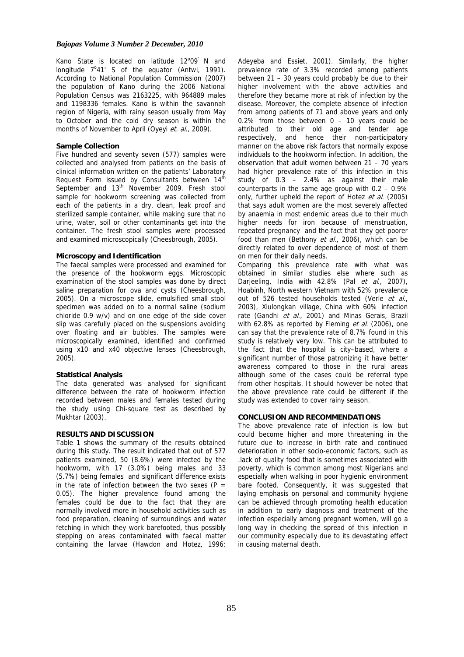#### *Bajopas Volume 3 Number 2 December, 2010*

Kano State is located on latitude 12°09<sup>'</sup> N and longitude  $7^{\circ}41'$  S of the equator (Antwi, 1991). According to National Population Commission (2007) the population of Kano during the 2006 National Population Census was 2163225, with 964889 males and 1198336 females. Kano is within the savannah region of Nigeria, with rainy season usually from May to October and the cold dry season is within the months of November to April (Oyeyi et. al., 2009).

#### **Sample Collection**

Five hundred and seventy seven (577) samples were collected and analysed from patients on the basis of clinical information written on the patients' Laboratory Request Form issued by Consultants between  $14<sup>th</sup>$ September and 13<sup>th</sup> November 2009. Fresh stool sample for hookworm screening was collected from each of the patients in a dry, clean, leak proof and sterilized sample container, while making sure that no urine, water, soil or other contaminants get into the container. The fresh stool samples were processed and examined microscopically (Cheesbrough, 2005).

#### **Microscopy and Identification**

The faecal samples were processed and examined for the presence of the hookworm eggs. Microscopic examination of the stool samples was done by direct saline preparation for ova and cysts (Cheesbrough, 2005). On a microscope slide, emulsified small stool specimen was added on to a normal saline (sodium chloride 0.9 w/v) and on one edge of the side cover slip was carefully placed on the suspensions avoiding over floating and air bubbles. The samples were microscopically examined, identified and confirmed using x10 and x40 objective lenses (Cheesbrough, 2005).

# **Statistical Analysis**

The data generated was analysed for significant difference between the rate of hookworm infection recorded between males and females tested during the study using Chi-square test as described by Mukhtar (2003).

## **RESULTS AND DISCUSSION**

Table 1 shows the summary of the results obtained during this study. The result indicated that out of 577 patients examined, 50 (8.6%) were infected by the hookworm, with 17 (3.0%) being males and 33 (5.7%) being females and significant difference exists in the rate of infection between the two sexes ( $P =$ 0.05). The higher prevalence found among the females could be due to the fact that they are normally involved more in household activities such as food preparation, cleaning of surroundings and water fetching in which they work barefooted, thus possibly stepping on areas contaminated with faecal matter containing the larvae (Hawdon and Hotez, 1996;

Adeyeba and Essiet, 2001). Similarly, the higher prevalence rate of 3.3% recorded among patients between 21 – 30 years could probably be due to their higher involvement with the above activities and therefore they became more at risk of infection by the disease. Moreover, the complete absence of infection from among patients of 71 and above years and only 0.2% from those between 0 – 10 years could be attributed to their old age and tender age respectively, and hence their non-participatory manner on the above risk factors that normally expose individuals to the hookworm infection. In addition, the observation that adult women between 21 – 70 years had higher prevalence rate of this infection in this study of 0.3 – 2.4% as against their male counterparts in the same age group with  $0.2 - 0.9\%$ only, further upheld the report of Hotez et al. (2005) that says adult women are the most severely affected by anaemia in most endemic areas due to their much higher needs for iron because of menstruation, repeated pregnancy and the fact that they get poorer food than men (Bethony et al., 2006), which can be directly related to over dependence of most of them on men for their daily needs.

Comparing this prevalence rate with what was obtained in similar studies else where such as Darjeeling, India with 42.8% (Pal et al., 2007), Hoabinh, North western Vietnam with 52% prevalence out of 526 tested households tested (Verle et al., 2003), Xiulongkan village, China with 60% infection rate (Gandhi et al., 2001) and Minas Gerais, Brazil with 62.8% as reported by Fleming et al. (2006), one can say that the prevalence rate of 8.7% found in this study is relatively very low. This can be attributed to the fact that the hospital is city–based, where a significant number of those patronizing it have better awareness compared to those in the rural areas although some of the cases could be referral type from other hospitals. It should however be noted that the above prevalence rate could be different if the study was extended to cover rainy season.

# **CONCLUSION AND RECOMMENDATIONS**

The above prevalence rate of infection is low but could become higher and more threatening in the future due to increase in birth rate and continued deterioration in other socio-economic factors, such as .lack of quality food that is sometimes associated with poverty, which is common among most Nigerians and especially when walking in poor hygienic environment bare footed. Consequently, it was suggested that laying emphasis on personal and community hygiene can be achieved through promoting health education in addition to early diagnosis and treatment of the infection especially among pregnant women, will go a long way in checking the spread of this infection in our community especially due to its devastating effect in causing maternal death.